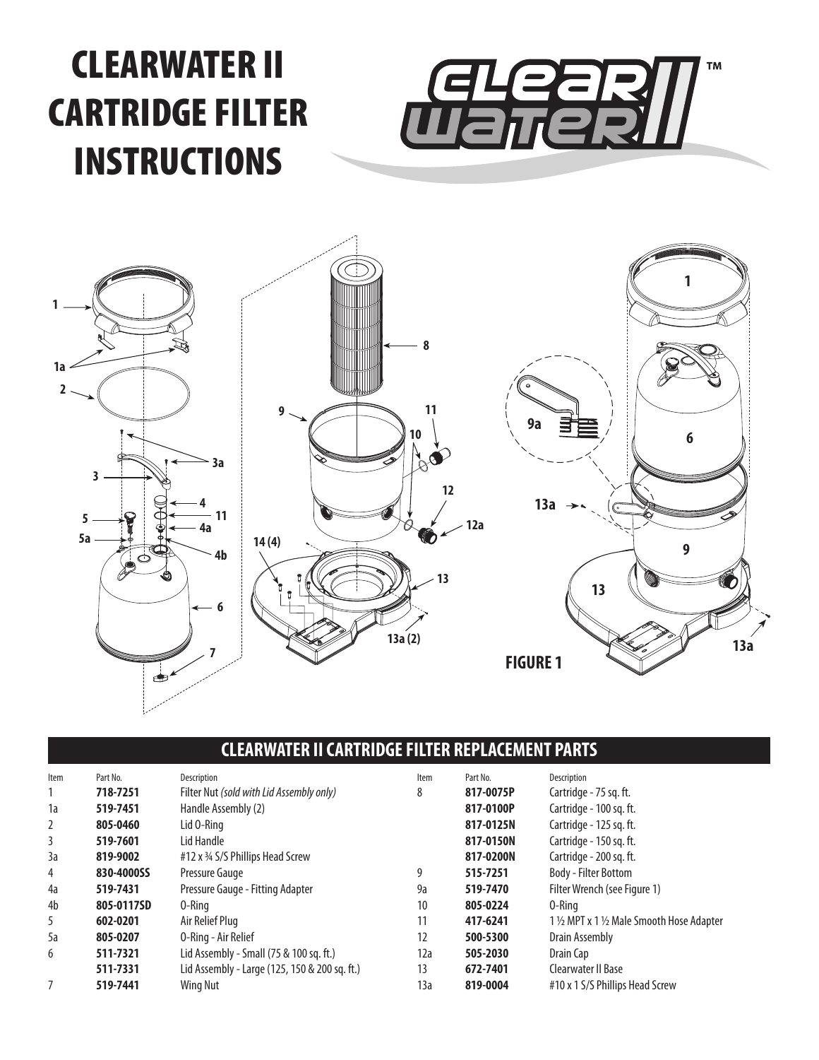# CLEARWATER II CARTRIDGE FILTER INSTRUCTIONS





# **CLEARWATER II CARTRIDGE FILTER REPLACEMENT PARTS**

| Item | Part No.   | Description                                   | Item | Part No.  | Description                                |
|------|------------|-----------------------------------------------|------|-----------|--------------------------------------------|
|      | 718-7251   | Filter Nut (sold with Lid Assembly only)      | 8    | 817-0075P | Cartridge - 75 sg. ft.                     |
| 1a   | 519-7451   | Handle Assembly (2)                           |      | 817-0100P | Cartridge - 100 sg. ft.                    |
| 2    | 805-0460   | Lid 0-Ring                                    |      | 817-0125N | Cartridge - 125 sq. ft.                    |
| 3    | 519-7601   | Lid Handle                                    |      | 817-0150N | Cartridge - 150 sq. ft.                    |
| 3a   | 819-9002   | #12 x 3/4 S/S Phillips Head Screw             |      | 817-0200N | Cartridge - 200 sg. ft.                    |
| 4    | 830-4000SS | Pressure Gauge                                | 9    | 515-7251  | Body - Filter Bottom                       |
| 4a   | 519-7431   | Pressure Gauge - Fitting Adapter              | 9a   | 519-7470  | Filter Wrench (see Figure 1)               |
| 4b   | 805-0117SD | 0-Rina                                        | 10   | 805-0224  | 0-Rina                                     |
| 5    | 602-0201   | Air Relief Plug                               | 11   | 417-6241  | 1 1/2 MPT x 1 1/2 Male Smooth Hose Adapter |
| 5a   | 805-0207   | O-Ring - Air Relief                           | 12   | 500-5300  | Drain Assembly                             |
| 6    | 511-7321   | Lid Assembly - Small (75 & 100 sq. ft.)       | 12a  | 505-2030  | Drain Cap                                  |
|      | 511-7331   | Lid Assembly - Large (125, 150 & 200 sq. ft.) | 13   | 672-7401  | Clearwater II Base                         |
|      | 519-7441   | <b>Wing Nut</b>                               | 13a  | 819-0004  | #10 x 1 S/S Phillips Head Screw            |